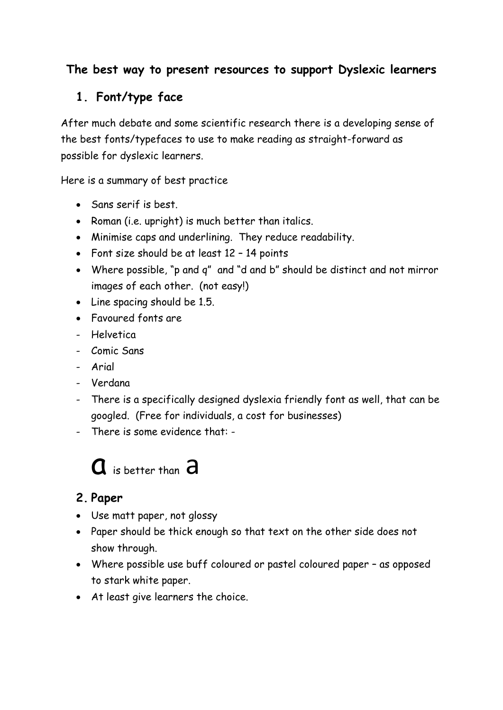## **The best way to present resources to support Dyslexic learners**

# **1. Font/type face**

After much debate and some scientific research there is a developing sense of the best fonts/typefaces to use to make reading as straight-forward as possible for dyslexic learners.

Here is a summary of best practice

- Sans serif is best.
- Roman (i.e. upright) is much better than italics.
- Minimise caps and underlining. They reduce readability.
- Font size should be at least 12 14 points
- Where possible, "p and q" and "d and b" should be distinct and not mirror images of each other. (not easy!)
- Line spacing should be 1.5.
- Favoured fonts are
- Helvetica
- Comic Sans
- Arial
- Verdana
- There is a specifically designed dyslexia friendly font as well, that can be googled. (Free for individuals, a cost for businesses)
- There is some evidence that: -

# $\mathbf a$  is better than  $\mathbf a$

#### **2. Paper**

- Use matt paper, not glossy
- Paper should be thick enough so that text on the other side does not show through.
- Where possible use buff coloured or pastel coloured paper as opposed to stark white paper.
- At least give learners the choice.